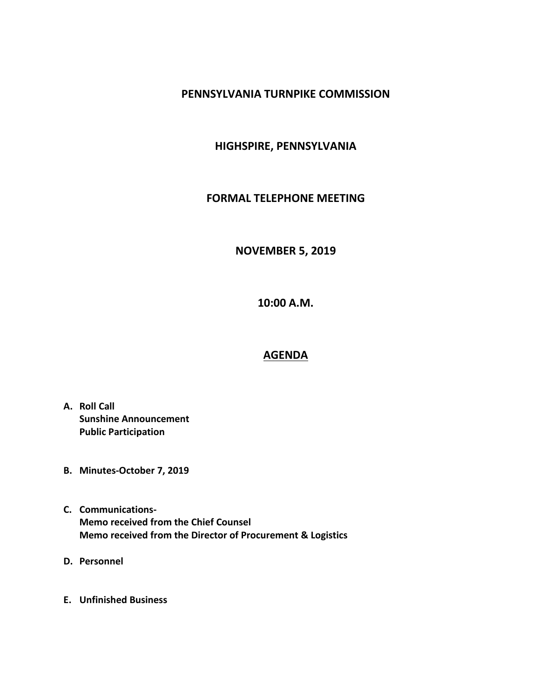## **PENNSYLVANIA TURNPIKE COMMISSION**

# **HIGHSPIRE, PENNSYLVANIA**

## **FORMAL TELEPHONE MEETING**

#### **NOVEMBER 5, 2019**

**10:00 A.M.**

#### **AGENDA**

- **A. Roll Call Sunshine Announcement Public Participation**
- **B. Minutes-October 7, 2019**
- **C. Communications-Memo received from the Chief Counsel Memo received from the Director of Procurement & Logistics**
- **D. Personnel**
- **E. Unfinished Business**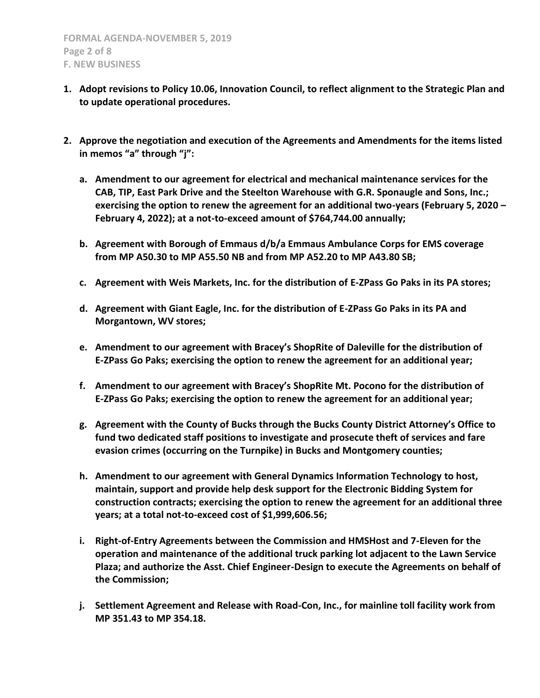- **1. Adopt revisions to Policy 10.06, Innovation Council, to reflect alignment to the Strategic Plan and to update operational procedures.**
- **2. Approve the negotiation and execution of the Agreements and Amendments for the items listed in memos "a" through "j":**
	- **a. Amendment to our agreement for electrical and mechanical maintenance services for the CAB, TIP, East Park Drive and the Steelton Warehouse with G.R. Sponaugle and Sons, Inc.; exercising the option to renew the agreement for an additional two-years (February 5, 2020 – February 4, 2022); at a not-to-exceed amount of \$764,744.00 annually;**
	- **b. Agreement with Borough of Emmaus d/b/a Emmaus Ambulance Corps for EMS coverage from MP A50.30 to MP A55.50 NB and from MP A52.20 to MP A43.80 SB;**
	- **c. Agreement with Weis Markets, Inc. for the distribution of E-ZPass Go Paks in its PA stores;**
	- **d. Agreement with Giant Eagle, Inc. for the distribution of E-ZPass Go Paks in its PA and Morgantown, WV stores;**
	- **e. Amendment to our agreement with Bracey's ShopRite of Daleville for the distribution of E-ZPass Go Paks; exercising the option to renew the agreement for an additional year;**
	- **f. Amendment to our agreement with Bracey's ShopRite Mt. Pocono for the distribution of E-ZPass Go Paks; exercising the option to renew the agreement for an additional year;**
	- **g. Agreement with the County of Bucks through the Bucks County District Attorney's Office to fund two dedicated staff positions to investigate and prosecute theft of services and fare evasion crimes (occurring on the Turnpike) in Bucks and Montgomery counties;**
	- **h. Amendment to our agreement with General Dynamics Information Technology to host, maintain, support and provide help desk support for the Electronic Bidding System for construction contracts; exercising the option to renew the agreement for an additional three years; at a total not-to-exceed cost of \$1,999,606.56;**
	- **i. Right-of-Entry Agreements between the Commission and HMSHost and 7-Eleven for the operation and maintenance of the additional truck parking lot adjacent to the Lawn Service Plaza; and authorize the Asst. Chief Engineer-Design to execute the Agreements on behalf of the Commission;**
	- **j. Settlement Agreement and Release with Road-Con, Inc., for mainline toll facility work from MP 351.43 to MP 354.18.**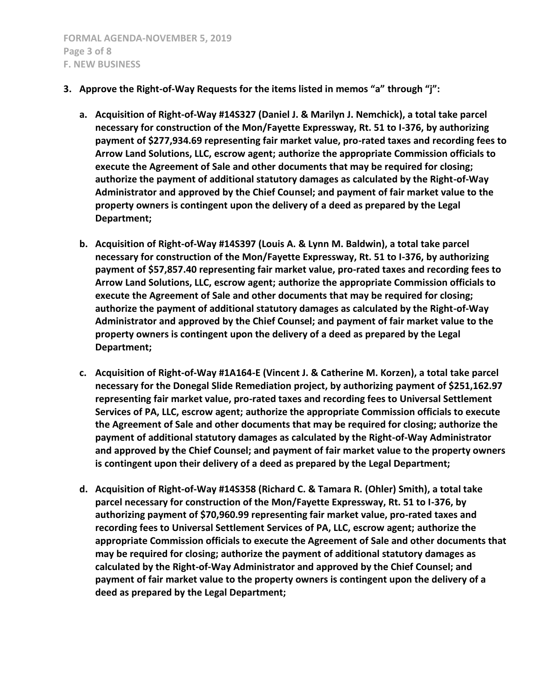- **3. Approve the Right-of-Way Requests for the items listed in memos "a" through "j":**
	- **a. Acquisition of Right-of-Way #14S327 (Daniel J. & Marilyn J. Nemchick), a total take parcel necessary for construction of the Mon/Fayette Expressway, Rt. 51 to I-376, by authorizing payment of \$277,934.69 representing fair market value, pro-rated taxes and recording fees to Arrow Land Solutions, LLC, escrow agent; authorize the appropriate Commission officials to execute the Agreement of Sale and other documents that may be required for closing; authorize the payment of additional statutory damages as calculated by the Right-of-Way Administrator and approved by the Chief Counsel; and payment of fair market value to the property owners is contingent upon the delivery of a deed as prepared by the Legal Department;**
	- **b. Acquisition of Right-of-Way #14S397 (Louis A. & Lynn M. Baldwin), a total take parcel necessary for construction of the Mon/Fayette Expressway, Rt. 51 to I-376, by authorizing payment of \$57,857.40 representing fair market value, pro-rated taxes and recording fees to Arrow Land Solutions, LLC, escrow agent; authorize the appropriate Commission officials to execute the Agreement of Sale and other documents that may be required for closing; authorize the payment of additional statutory damages as calculated by the Right-of-Way Administrator and approved by the Chief Counsel; and payment of fair market value to the property owners is contingent upon the delivery of a deed as prepared by the Legal Department;**
	- **c. Acquisition of Right-of-Way #1A164-E (Vincent J. & Catherine M. Korzen), a total take parcel necessary for the Donegal Slide Remediation project, by authorizing payment of \$251,162.97 representing fair market value, pro-rated taxes and recording fees to Universal Settlement Services of PA, LLC, escrow agent; authorize the appropriate Commission officials to execute the Agreement of Sale and other documents that may be required for closing; authorize the payment of additional statutory damages as calculated by the Right-of-Way Administrator and approved by the Chief Counsel; and payment of fair market value to the property owners is contingent upon their delivery of a deed as prepared by the Legal Department;**
	- **d. Acquisition of Right-of-Way #14S358 (Richard C. & Tamara R. (Ohler) Smith), a total take parcel necessary for construction of the Mon/Fayette Expressway, Rt. 51 to I-376, by authorizing payment of \$70,960.99 representing fair market value, pro-rated taxes and recording fees to Universal Settlement Services of PA, LLC, escrow agent; authorize the appropriate Commission officials to execute the Agreement of Sale and other documents that may be required for closing; authorize the payment of additional statutory damages as calculated by the Right-of-Way Administrator and approved by the Chief Counsel; and payment of fair market value to the property owners is contingent upon the delivery of a deed as prepared by the Legal Department;**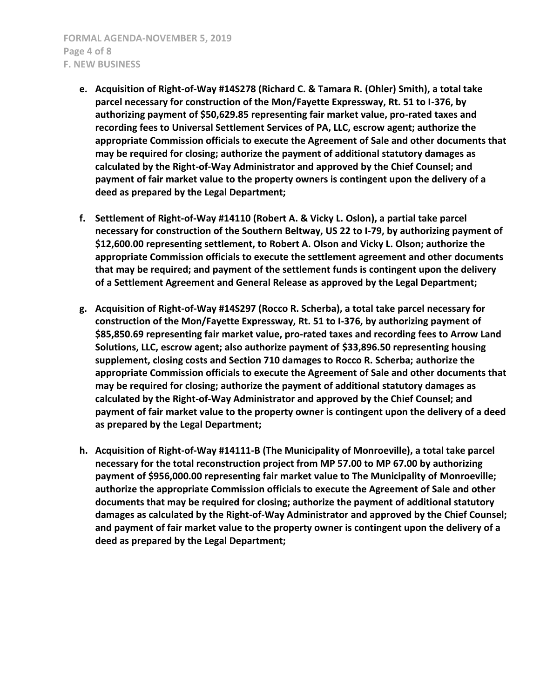- **e. Acquisition of Right-of-Way #14S278 (Richard C. & Tamara R. (Ohler) Smith), a total take parcel necessary for construction of the Mon/Fayette Expressway, Rt. 51 to I-376, by authorizing payment of \$50,629.85 representing fair market value, pro-rated taxes and recording fees to Universal Settlement Services of PA, LLC, escrow agent; authorize the appropriate Commission officials to execute the Agreement of Sale and other documents that may be required for closing; authorize the payment of additional statutory damages as calculated by the Right-of-Way Administrator and approved by the Chief Counsel; and payment of fair market value to the property owners is contingent upon the delivery of a deed as prepared by the Legal Department;**
- **f. Settlement of Right-of-Way #14110 (Robert A. & Vicky L. Oslon), a partial take parcel necessary for construction of the Southern Beltway, US 22 to I-79, by authorizing payment of \$12,600.00 representing settlement, to Robert A. Olson and Vicky L. Olson; authorize the appropriate Commission officials to execute the settlement agreement and other documents that may be required; and payment of the settlement funds is contingent upon the delivery of a Settlement Agreement and General Release as approved by the Legal Department;**
- **g. Acquisition of Right-of-Way #14S297 (Rocco R. Scherba), a total take parcel necessary for construction of the Mon/Fayette Expressway, Rt. 51 to I-376, by authorizing payment of \$85,850.69 representing fair market value, pro-rated taxes and recording fees to Arrow Land Solutions, LLC, escrow agent; also authorize payment of \$33,896.50 representing housing supplement, closing costs and Section 710 damages to Rocco R. Scherba; authorize the appropriate Commission officials to execute the Agreement of Sale and other documents that may be required for closing; authorize the payment of additional statutory damages as calculated by the Right-of-Way Administrator and approved by the Chief Counsel; and payment of fair market value to the property owner is contingent upon the delivery of a deed as prepared by the Legal Department;**
- **h. Acquisition of Right-of-Way #14111-B (The Municipality of Monroeville), a total take parcel necessary for the total reconstruction project from MP 57.00 to MP 67.00 by authorizing payment of \$956,000.00 representing fair market value to The Municipality of Monroeville; authorize the appropriate Commission officials to execute the Agreement of Sale and other documents that may be required for closing; authorize the payment of additional statutory damages as calculated by the Right-of-Way Administrator and approved by the Chief Counsel; and payment of fair market value to the property owner is contingent upon the delivery of a deed as prepared by the Legal Department;**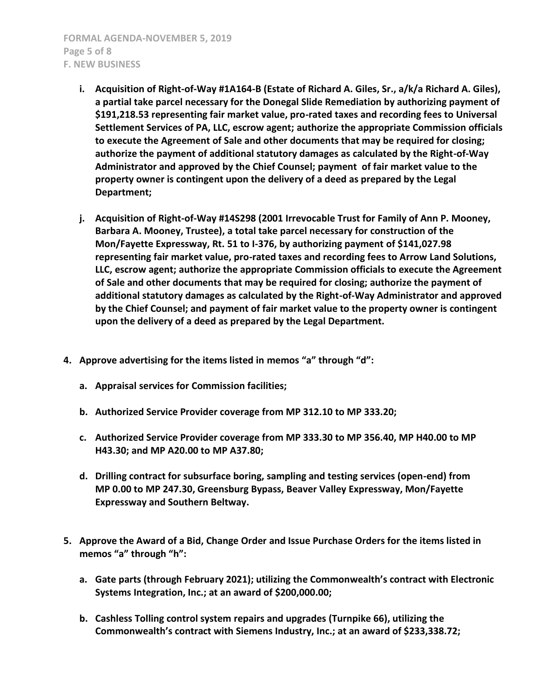**FORMAL AGENDA-NOVEMBER 5, 2019 Page 5 of 8 F. NEW BUSINESS**

- **i. Acquisition of Right-of-Way #1A164-B (Estate of Richard A. Giles, Sr., a/k/a Richard A. Giles), a partial take parcel necessary for the Donegal Slide Remediation by authorizing payment of \$191,218.53 representing fair market value, pro-rated taxes and recording fees to Universal Settlement Services of PA, LLC, escrow agent; authorize the appropriate Commission officials to execute the Agreement of Sale and other documents that may be required for closing; authorize the payment of additional statutory damages as calculated by the Right-of-Way Administrator and approved by the Chief Counsel; payment of fair market value to the property owner is contingent upon the delivery of a deed as prepared by the Legal Department;**
- **j. Acquisition of Right-of-Way #14S298 (2001 Irrevocable Trust for Family of Ann P. Mooney, Barbara A. Mooney, Trustee), a total take parcel necessary for construction of the Mon/Fayette Expressway, Rt. 51 to I-376, by authorizing payment of \$141,027.98 representing fair market value, pro-rated taxes and recording fees to Arrow Land Solutions, LLC, escrow agent; authorize the appropriate Commission officials to execute the Agreement of Sale and other documents that may be required for closing; authorize the payment of additional statutory damages as calculated by the Right-of-Way Administrator and approved by the Chief Counsel; and payment of fair market value to the property owner is contingent upon the delivery of a deed as prepared by the Legal Department.**
- **4. Approve advertising for the items listed in memos "a" through "d":**
	- **a. Appraisal services for Commission facilities;**
	- **b. Authorized Service Provider coverage from MP 312.10 to MP 333.20;**
	- **c. Authorized Service Provider coverage from MP 333.30 to MP 356.40, MP H40.00 to MP H43.30; and MP A20.00 to MP A37.80;**
	- **d. Drilling contract for subsurface boring, sampling and testing services (open-end) from MP 0.00 to MP 247.30, Greensburg Bypass, Beaver Valley Expressway, Mon/Fayette Expressway and Southern Beltway.**
- **5. Approve the Award of a Bid, Change Order and Issue Purchase Orders for the items listed in memos "a" through "h":**
	- **a. Gate parts (through February 2021); utilizing the Commonwealth's contract with Electronic Systems Integration, Inc.; at an award of \$200,000.00;**
	- **b. Cashless Tolling control system repairs and upgrades (Turnpike 66), utilizing the Commonwealth's contract with Siemens Industry, Inc.; at an award of \$233,338.72;**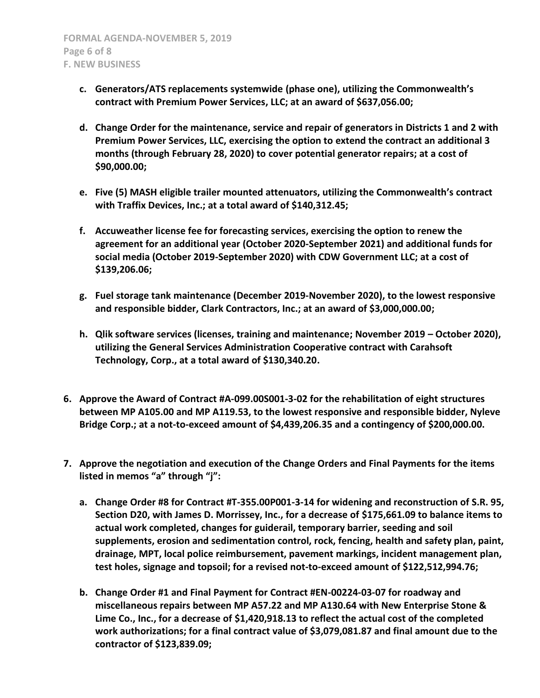- **c. Generators/ATS replacements systemwide (phase one), utilizing the Commonwealth's contract with Premium Power Services, LLC; at an award of \$637,056.00;**
- **d. Change Order for the maintenance, service and repair of generators in Districts 1 and 2 with Premium Power Services, LLC, exercising the option to extend the contract an additional 3 months (through February 28, 2020) to cover potential generator repairs; at a cost of \$90,000.00;**
- **e. Five (5) MASH eligible trailer mounted attenuators, utilizing the Commonwealth's contract with Traffix Devices, Inc.; at a total award of \$140,312.45;**
- **f. Accuweather license fee for forecasting services, exercising the option to renew the agreement for an additional year (October 2020-September 2021) and additional funds for social media (October 2019-September 2020) with CDW Government LLC; at a cost of \$139,206.06;**
- **g. Fuel storage tank maintenance (December 2019-November 2020), to the lowest responsive and responsible bidder, Clark Contractors, Inc.; at an award of \$3,000,000.00;**
- **h. Qlik software services (licenses, training and maintenance; November 2019 – October 2020), utilizing the General Services Administration Cooperative contract with Carahsoft Technology, Corp., at a total award of \$130,340.20.**
- **6. Approve the Award of Contract #A-099.00S001-3-02 for the rehabilitation of eight structures between MP A105.00 and MP A119.53, to the lowest responsive and responsible bidder, Nyleve Bridge Corp.; at a not-to-exceed amount of \$4,439,206.35 and a contingency of \$200,000.00.**
- **7. Approve the negotiation and execution of the Change Orders and Final Payments for the items listed in memos "a" through "j":**
	- **a. Change Order #8 for Contract #T-355.00P001-3-14 for widening and reconstruction of S.R. 95, Section D20, with James D. Morrissey, Inc., for a decrease of \$175,661.09 to balance items to actual work completed, changes for guiderail, temporary barrier, seeding and soil supplements, erosion and sedimentation control, rock, fencing, health and safety plan, paint, drainage, MPT, local police reimbursement, pavement markings, incident management plan, test holes, signage and topsoil; for a revised not-to-exceed amount of \$122,512,994.76;**
	- **b. Change Order #1 and Final Payment for Contract #EN-00224-03-07 for roadway and miscellaneous repairs between MP A57.22 and MP A130.64 with New Enterprise Stone & Lime Co., Inc., for a decrease of \$1,420,918.13 to reflect the actual cost of the completed work authorizations; for a final contract value of \$3,079,081.87 and final amount due to the contractor of \$123,839.09;**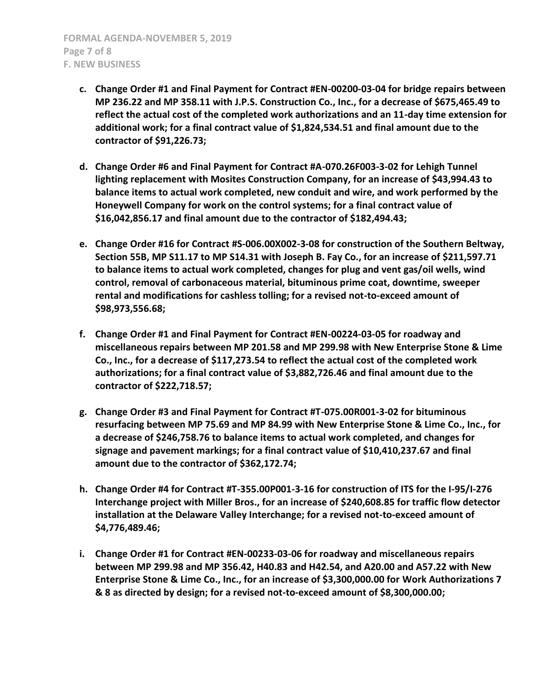- **c. Change Order #1 and Final Payment for Contract #EN-00200-03-04 for bridge repairs between MP 236.22 and MP 358.11 with J.P.S. Construction Co., Inc., for a decrease of \$675,465.49 to reflect the actual cost of the completed work authorizations and an 11-day time extension for additional work; for a final contract value of \$1,824,534.51 and final amount due to the contractor of \$91,226.73;**
- **d. Change Order #6 and Final Payment for Contract #A-070.26F003-3-02 for Lehigh Tunnel lighting replacement with Mosites Construction Company, for an increase of \$43,994.43 to balance items to actual work completed, new conduit and wire, and work performed by the Honeywell Company for work on the control systems; for a final contract value of \$16,042,856.17 and final amount due to the contractor of \$182,494.43;**
- **e. Change Order #16 for Contract #S-006.00X002-3-08 for construction of the Southern Beltway, Section 55B, MP S11.17 to MP S14.31 with Joseph B. Fay Co., for an increase of \$211,597.71 to balance items to actual work completed, changes for plug and vent gas/oil wells, wind control, removal of carbonaceous material, bituminous prime coat, downtime, sweeper rental and modifications for cashless tolling; for a revised not-to-exceed amount of \$98,973,556.68;**
- **f. Change Order #1 and Final Payment for Contract #EN-00224-03-05 for roadway and miscellaneous repairs between MP 201.58 and MP 299.98 with New Enterprise Stone & Lime Co., Inc., for a decrease of \$117,273.54 to reflect the actual cost of the completed work authorizations; for a final contract value of \$3,882,726.46 and final amount due to the contractor of \$222,718.57;**
- **g. Change Order #3 and Final Payment for Contract #T-075.00R001-3-02 for bituminous resurfacing between MP 75.69 and MP 84.99 with New Enterprise Stone & Lime Co., Inc., for a decrease of \$246,758.76 to balance items to actual work completed, and changes for signage and pavement markings; for a final contract value of \$10,410,237.67 and final amount due to the contractor of \$362,172.74;**
- **h. Change Order #4 for Contract #T-355.00P001-3-16 for construction of ITS for the I-95/I-276 Interchange project with Miller Bros., for an increase of \$240,608.85 for traffic flow detector installation at the Delaware Valley Interchange; for a revised not-to-exceed amount of \$4,776,489.46;**
- **i. Change Order #1 for Contract #EN-00233-03-06 for roadway and miscellaneous repairs between MP 299.98 and MP 356.42, H40.83 and H42.54, and A20.00 and A57.22 with New Enterprise Stone & Lime Co., Inc., for an increase of \$3,300,000.00 for Work Authorizations 7 & 8 as directed by design; for a revised not-to-exceed amount of \$8,300,000.00;**